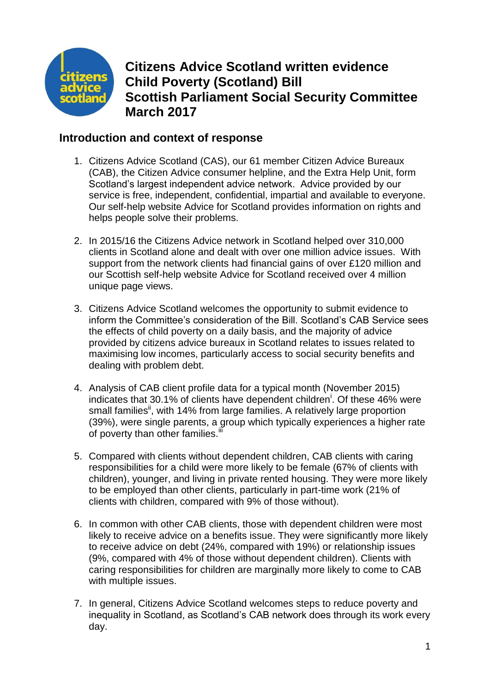

# **Citizens Advice Scotland written evidence Child Poverty (Scotland) Bill Scottish Parliament Social Security Committee March 2017**

## **Introduction and context of response**

- 1. Citizens Advice Scotland (CAS), our 61 member Citizen Advice Bureaux (CAB), the Citizen Advice consumer helpline, and the Extra Help Unit, form Scotland's largest independent advice network. Advice provided by our service is free, independent, confidential, impartial and available to everyone. Our self-help website Advice for Scotland provides information on rights and helps people solve their problems.
- 2. In 2015/16 the Citizens Advice network in Scotland helped over 310,000 clients in Scotland alone and dealt with over one million advice issues. With support from the network clients had financial gains of over £120 million and our Scottish self-help website Advice for Scotland received over 4 million unique page views.
- 3. Citizens Advice Scotland welcomes the opportunity to submit evidence to inform the Committee's consideration of the Bill. Scotland's CAB Service sees the effects of child poverty on a daily basis, and the majority of advice provided by citizens advice bureaux in Scotland relates to issues related to maximising low incomes, particularly access to social security benefits and dealing with problem debt.
- 4. Analysis of CAB client profile data for a typical month (November 2015) indicates that 30.1% of clients have dependent children<sup>i</sup>. Of these 46% were small families<sup>ii</sup>, with 14% from large families. A relatively large proportion (39%), were single parents, a group which typically experiences a higher rate of poverty than other families.<sup>if</sup>
- 5. Compared with clients without dependent children, CAB clients with caring responsibilities for a child were more likely to be female (67% of clients with children), younger, and living in private rented housing. They were more likely to be employed than other clients, particularly in part-time work (21% of clients with children, compared with 9% of those without).
- 6. In common with other CAB clients, those with dependent children were most likely to receive advice on a benefits issue. They were significantly more likely to receive advice on debt (24%, compared with 19%) or relationship issues (9%, compared with 4% of those without dependent children). Clients with caring responsibilities for children are marginally more likely to come to CAB with multiple issues.
- 7. In general, Citizens Advice Scotland welcomes steps to reduce poverty and inequality in Scotland, as Scotland's CAB network does through its work every day.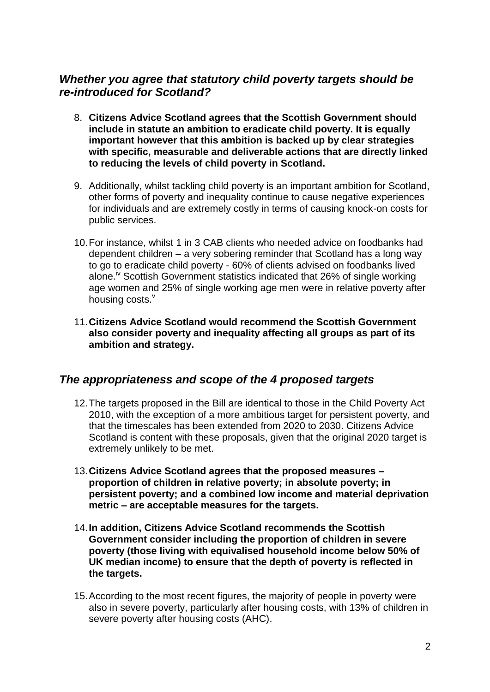## *Whether you agree that statutory child poverty targets should be re-introduced for Scotland?*

- 8. **Citizens Advice Scotland agrees that the Scottish Government should include in statute an ambition to eradicate child poverty. It is equally important however that this ambition is backed up by clear strategies with specific, measurable and deliverable actions that are directly linked to reducing the levels of child poverty in Scotland.**
- 9. Additionally, whilst tackling child poverty is an important ambition for Scotland, other forms of poverty and inequality continue to cause negative experiences for individuals and are extremely costly in terms of causing knock-on costs for public services.
- 10.For instance, whilst 1 in 3 CAB clients who needed advice on foodbanks had dependent children – a very sobering reminder that Scotland has a long way to go to eradicate child poverty - 60% of clients advised on foodbanks lived alone.<sup>iv</sup> Scottish Government statistics indicated that 26% of single working age women and 25% of single working age men were in relative poverty after housing costs.<sup>v</sup>
- 11.**Citizens Advice Scotland would recommend the Scottish Government also consider poverty and inequality affecting all groups as part of its ambition and strategy.**

#### *The appropriateness and scope of the 4 proposed targets*

- 12.The targets proposed in the Bill are identical to those in the Child Poverty Act 2010, with the exception of a more ambitious target for persistent poverty, and that the timescales has been extended from 2020 to 2030. Citizens Advice Scotland is content with these proposals, given that the original 2020 target is extremely unlikely to be met.
- 13.**Citizens Advice Scotland agrees that the proposed measures – proportion of children in relative poverty; in absolute poverty; in persistent poverty; and a combined low income and material deprivation metric – are acceptable measures for the targets.**
- 14.**In addition, Citizens Advice Scotland recommends the Scottish Government consider including the proportion of children in severe poverty (those living with equivalised household income below 50% of UK median income) to ensure that the depth of poverty is reflected in the targets.**
- 15.According to the most recent figures, the majority of people in poverty were also in severe poverty, particularly after housing costs, with 13% of children in severe poverty after housing costs (AHC).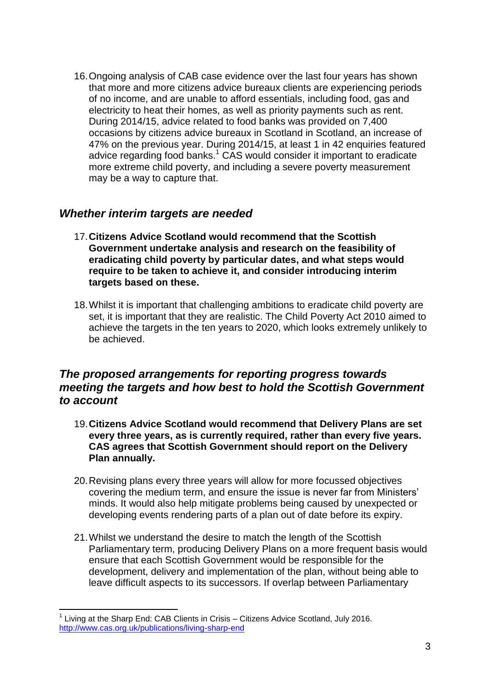16.Ongoing analysis of CAB case evidence over the last four years has shown that more and more citizens advice bureaux clients are experiencing periods of no income, and are unable to afford essentials, including food, gas and electricity to heat their homes, as well as priority payments such as rent. During 2014/15, advice related to food banks was provided on 7,400 occasions by citizens advice bureaux in Scotland in Scotland, an increase of 47% on the previous year. During 2014/15, at least 1 in 42 enquiries featured advice regarding food banks.<sup>1</sup> CAS would consider it important to eradicate more extreme child poverty, and including a severe poverty measurement may be a way to capture that.

#### *Whether interim targets are needed*

- 17.**Citizens Advice Scotland would recommend that the Scottish Government undertake analysis and research on the feasibility of eradicating child poverty by particular dates, and what steps would require to be taken to achieve it, and consider introducing interim targets based on these.**
- 18.Whilst it is important that challenging ambitions to eradicate child poverty are set, it is important that they are realistic. The Child Poverty Act 2010 aimed to achieve the targets in the ten years to 2020, which looks extremely unlikely to be achieved.

## *The proposed arrangements for reporting progress towards meeting the targets and how best to hold the Scottish Government to account*

- 19.**Citizens Advice Scotland would recommend that Delivery Plans are set every three years, as is currently required, rather than every five years. CAS agrees that Scottish Government should report on the Delivery Plan annually.**
- 20.Revising plans every three years will allow for more focussed objectives covering the medium term, and ensure the issue is never far from Ministers' minds. It would also help mitigate problems being caused by unexpected or developing events rendering parts of a plan out of date before its expiry.
- 21.Whilst we understand the desire to match the length of the Scottish Parliamentary term, producing Delivery Plans on a more frequent basis would ensure that each Scottish Government would be responsible for the development, delivery and implementation of the plan, without being able to leave difficult aspects to its successors. If overlap between Parliamentary

**<sup>.</sup>** 1 Living at the Sharp End: CAB Clients in Crisis – Citizens Advice Scotland, July 2016. <http://www.cas.org.uk/publications/living-sharp-end>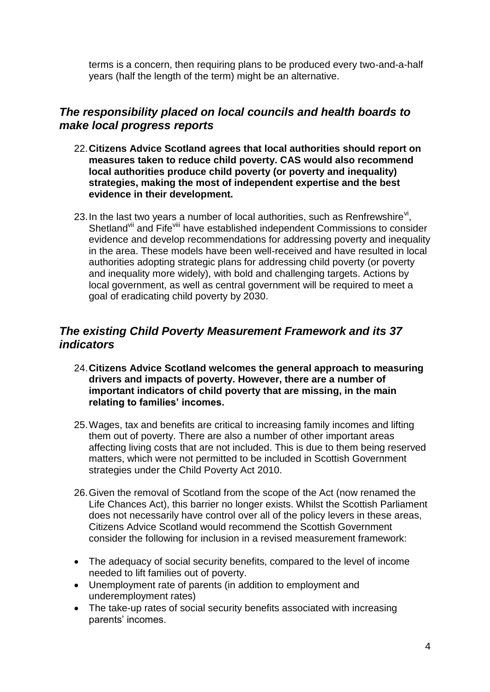terms is a concern, then requiring plans to be produced every two-and-a-half years (half the length of the term) might be an alternative.

## *The responsibility placed on local councils and health boards to make local progress reports*

- 22.**Citizens Advice Scotland agrees that local authorities should report on measures taken to reduce child poverty. CAS would also recommend local authorities produce child poverty (or poverty and inequality) strategies, making the most of independent expertise and the best evidence in their development.**
- 23. In the last two years a number of local authorities, such as Renfrewshire $v<sup>i</sup>$ , Shetland<sup>vii</sup> and Fife<sup>viii</sup> have established independent Commissions to consider evidence and develop recommendations for addressing poverty and inequality in the area. These models have been well-received and have resulted in local authorities adopting strategic plans for addressing child poverty (or poverty and inequality more widely), with bold and challenging targets. Actions by local government, as well as central government will be required to meet a goal of eradicating child poverty by 2030.

## *The existing Child Poverty Measurement Framework and its 37 indicators*

- 24.**Citizens Advice Scotland welcomes the general approach to measuring drivers and impacts of poverty. However, there are a number of important indicators of child poverty that are missing, in the main relating to families' incomes.**
- 25.Wages, tax and benefits are critical to increasing family incomes and lifting them out of poverty. There are also a number of other important areas affecting living costs that are not included. This is due to them being reserved matters, which were not permitted to be included in Scottish Government strategies under the Child Poverty Act 2010.
- 26.Given the removal of Scotland from the scope of the Act (now renamed the Life Chances Act), this barrier no longer exists. Whilst the Scottish Parliament does not necessarily have control over all of the policy levers in these areas, Citizens Advice Scotland would recommend the Scottish Government consider the following for inclusion in a revised measurement framework:
- The adequacy of social security benefits, compared to the level of income needed to lift families out of poverty.
- Unemployment rate of parents (in addition to employment and underemployment rates)
- The take-up rates of social security benefits associated with increasing parents' incomes.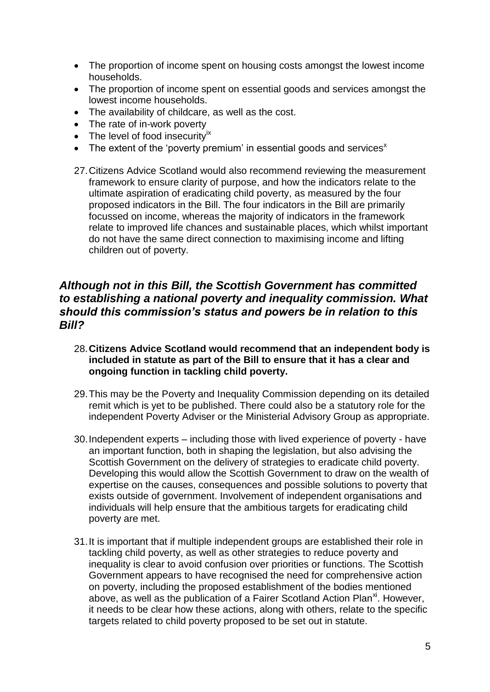- The proportion of income spent on housing costs amongst the lowest income households.
- The proportion of income spent on essential goods and services amongst the lowest income households.
- The availability of childcare, as well as the cost.
- The rate of in-work poverty
- $\bullet$  The level of food insecurity<sup>ix</sup>
- $\bullet$  The extent of the 'poverty premium' in essential goods and services<sup>x</sup>
- 27.Citizens Advice Scotland would also recommend reviewing the measurement framework to ensure clarity of purpose, and how the indicators relate to the ultimate aspiration of eradicating child poverty, as measured by the four proposed indicators in the Bill. The four indicators in the Bill are primarily focussed on income, whereas the majority of indicators in the framework relate to improved life chances and sustainable places, which whilst important do not have the same direct connection to maximising income and lifting children out of poverty.

#### *Although not in this Bill, the Scottish Government has committed to establishing a national poverty and inequality commission. What should this commission's status and powers be in relation to this Bill?*

- 28.**Citizens Advice Scotland would recommend that an independent body is included in statute as part of the Bill to ensure that it has a clear and ongoing function in tackling child poverty.**
- 29.This may be the Poverty and Inequality Commission depending on its detailed remit which is yet to be published. There could also be a statutory role for the independent Poverty Adviser or the Ministerial Advisory Group as appropriate.
- 30.Independent experts including those with lived experience of poverty have an important function, both in shaping the legislation, but also advising the Scottish Government on the delivery of strategies to eradicate child poverty. Developing this would allow the Scottish Government to draw on the wealth of expertise on the causes, consequences and possible solutions to poverty that exists outside of government. Involvement of independent organisations and individuals will help ensure that the ambitious targets for eradicating child poverty are met.
- 31.It is important that if multiple independent groups are established their role in tackling child poverty, as well as other strategies to reduce poverty and inequality is clear to avoid confusion over priorities or functions. The Scottish Government appears to have recognised the need for comprehensive action on poverty, including the proposed establishment of the bodies mentioned above, as well as the publication of a Fairer Scotland Action Plan<sup>xi</sup>. However, it needs to be clear how these actions, along with others, relate to the specific targets related to child poverty proposed to be set out in statute.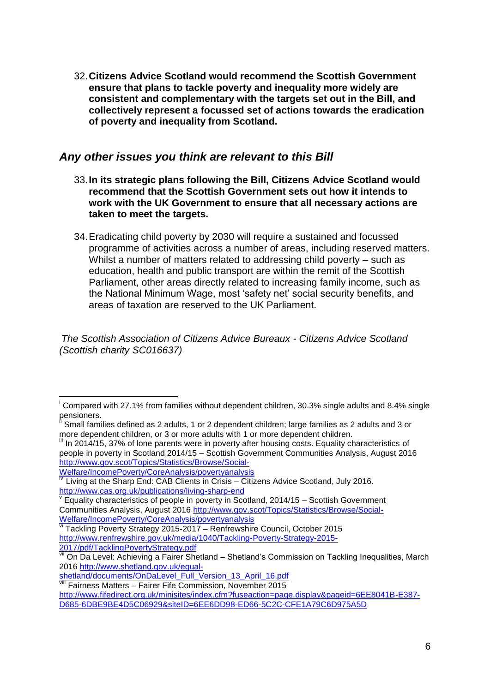32.**Citizens Advice Scotland would recommend the Scottish Government ensure that plans to tackle poverty and inequality more widely are consistent and complementary with the targets set out in the Bill, and collectively represent a focussed set of actions towards the eradication of poverty and inequality from Scotland.**

#### *Any other issues you think are relevant to this Bill*

- 33.**In its strategic plans following the Bill, Citizens Advice Scotland would recommend that the Scottish Government sets out how it intends to work with the UK Government to ensure that all necessary actions are taken to meet the targets.**
- 34.Eradicating child poverty by 2030 will require a sustained and focussed programme of activities across a number of areas, including reserved matters. Whilst a number of matters related to addressing child poverty – such as education, health and public transport are within the remit of the Scottish Parliament, other areas directly related to increasing family income, such as the National Minimum Wage, most 'safety net' social security benefits, and areas of taxation are reserved to the UK Parliament.

*The Scottish Association of Citizens Advice Bureaux - Citizens Advice Scotland (Scottish charity SC016637)*

In 2014/15, 37% of lone parents were in poverty after housing costs. Equality characteristics of people in poverty in Scotland 2014/15 – Scottish Government Communities Analysis, August 2016 [http://www.gov.scot/Topics/Statistics/Browse/Social-](http://www.gov.scot/Topics/Statistics/Browse/Social-Welfare/IncomePoverty/CoreAnalysis/povertyanalysis)[Welfare/IncomePoverty/CoreAnalysis/povertyanalysis](http://www.gov.scot/Topics/Statistics/Browse/Social-Welfare/IncomePoverty/CoreAnalysis/povertyanalysis)

**.** 

<sup>i</sup> Compared with 27.1% from families without dependent children, 30.3% single adults and 8.4% single pensioners.

Small families defined as 2 adults, 1 or 2 dependent children; large families as 2 adults and 3 or more dependent children, or 3 or more adults with 1 or more dependent children.

Living at the Sharp End: CAB Clients in Crisis – Citizens Advice Scotland, July 2016. <http://www.cas.org.uk/publications/living-sharp-end>

v Equality characteristics of people in poverty in Scotland, 2014/15 – Scottish Government Communities Analysis, August 2016 [http://www.gov.scot/Topics/Statistics/Browse/Social-](http://www.gov.scot/Topics/Statistics/Browse/Social-Welfare/IncomePoverty/CoreAnalysis/povertyanalysis)[Welfare/IncomePoverty/CoreAnalysis/povertyanalysis](http://www.gov.scot/Topics/Statistics/Browse/Social-Welfare/IncomePoverty/CoreAnalysis/povertyanalysis)

vi Tackling Poverty Strategy 2015-2017 – Renfrewshire Council, October 2015 [http://www.renfrewshire.gov.uk/media/1040/Tackling-Poverty-Strategy-2015-](http://www.renfrewshire.gov.uk/media/1040/Tackling-Poverty-Strategy-2015-2017/pdf/TacklingPovertyStrategy.pdf) [2017/pdf/TacklingPovertyStrategy.pdf](http://www.renfrewshire.gov.uk/media/1040/Tackling-Poverty-Strategy-2015-2017/pdf/TacklingPovertyStrategy.pdf)

vii On Da Level: Achieving a Fairer Shetland – Shetland's Commission on Tackling Inequalities, March 2016 [http://www.shetland.gov.uk/equal-](http://www.shetland.gov.uk/equal-shetland/documents/OnDaLevel_Full_Version_13_April_16.pdf)

[shetland/documents/OnDaLevel\\_Full\\_Version\\_13\\_April\\_16.pdf](http://www.shetland.gov.uk/equal-shetland/documents/OnDaLevel_Full_Version_13_April_16.pdf)

**WII** Fairness Matters – Fairer Fife Commission, November 2015 [http://www.fifedirect.org.uk/minisites/index.cfm?fuseaction=page.display&pageid=6EE8041B-E387-](http://www.fifedirect.org.uk/minisites/index.cfm?fuseaction=page.display&pageid=6EE8041B-E387-D685-6DBE9BE4D5C06929&siteID=6EE6DD98-ED66-5C2C-CFE1A79C6D975A5D)

[D685-6DBE9BE4D5C06929&siteID=6EE6DD98-ED66-5C2C-CFE1A79C6D975A5D](http://www.fifedirect.org.uk/minisites/index.cfm?fuseaction=page.display&pageid=6EE8041B-E387-D685-6DBE9BE4D5C06929&siteID=6EE6DD98-ED66-5C2C-CFE1A79C6D975A5D)